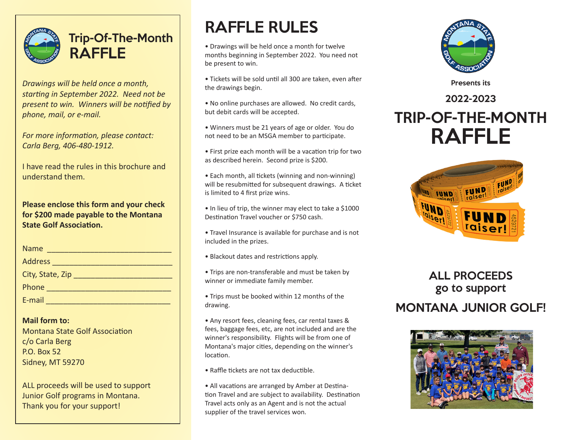

## Trip-Of-The-Month RAFFLE

*Drawings will be held once a month, starting in September 2022. Need not be present to win. Winners will be notified by phone, mail, or e-mail.* 

*For more information, please contact: Carla Berg, 406-480-1912.*

I have read the rules in this brochure and understand them.

**Please enclose this form and your check for \$200 made payable to the Montana State Golf Association.**

| Name             |
|------------------|
| Address          |
| City, State, Zip |
| Phone            |
| E-mail           |

**Mail form to:** Montana State Golf Association c/o Carla Berg P.O. Box 52 Sidney, MT 59270

ALL proceeds will be used to support Junior Golf programs in Montana. Thank you for your support!

# RAFFLE RULES

- Drawings will be held once a month for twelve months beginning in September 2022. You need not be present to win.
- Tickets will be sold until all 300 are taken, even after the drawings begin.
- No online purchases are allowed. No credit cards, but debit cards will be accepted.
- Winners must be 21 years of age or older. You do not need to be an MSGA member to participate.
- First prize each month will be a vacation trip for two as described herein. Second prize is \$200.
- Each month, all tickets (winning and non-winning) will be resubmitted for subsequent drawings. A ticket is limited to 4 first prize wins.
- In lieu of trip, the winner may elect to take a \$1000 Destination Travel voucher or \$750 cash.
- Travel Insurance is available for purchase and is not included in the prizes.
- Blackout dates and restrictions apply.
- Trips are non-transferable and must be taken by winner or immediate family member.
- Trips must be booked within 12 months of the drawing.
- Any resort fees, cleaning fees, car rental taxes & fees, baggage fees, etc, are not included and are the winner's responsibility. Flights will be from one of Montana's major cities, depending on the winner's location.
- Raffle tickets are not tax deductible.
- All vacations are arranged by Amber at Destination Travel and are subject to availability. Destination Travel acts only as an Agent and is not the actual supplier of the travel services won.



Presents its

## 2022-2023 TRIP-OF-THE-MONTH RAFFLE



### ALL PROCEEDS go to support MONTANA JUNIOR GOLF!